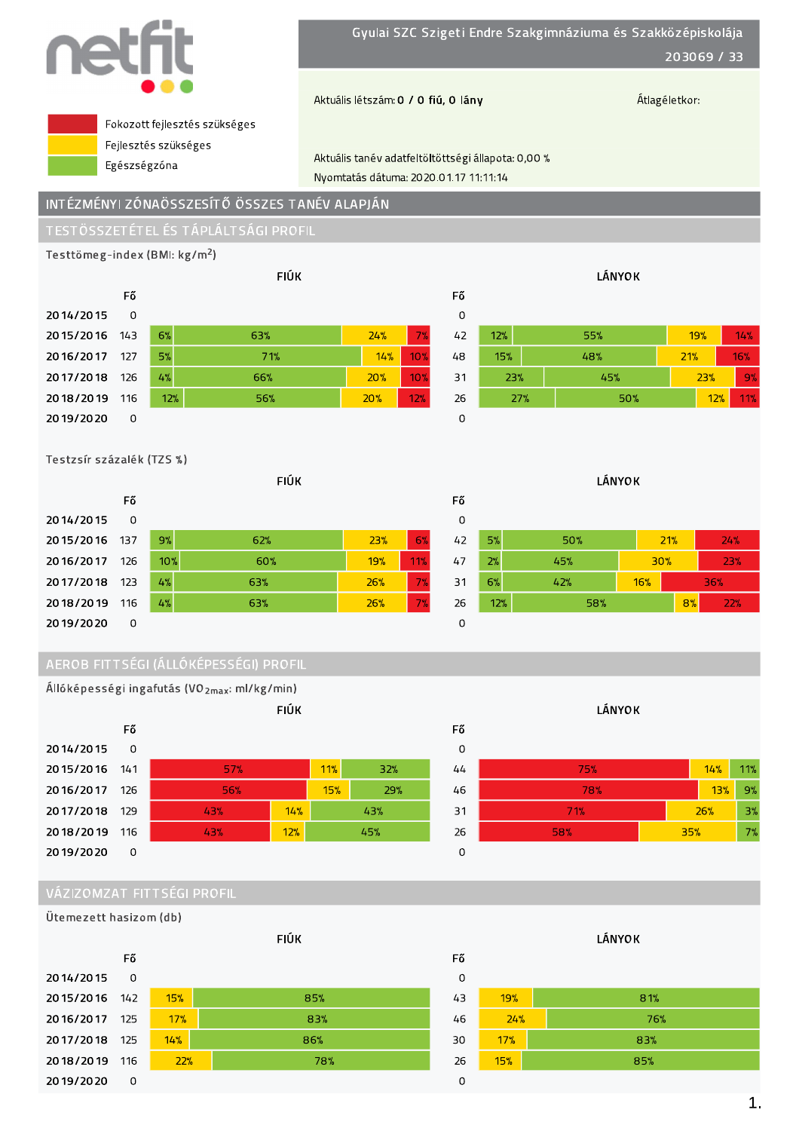

Gyulai SZC Szigeti Endre Szakgimnáziuma és Szakközépiskolája 203069 / 33

Aktuális létszám: 0 / 0 fiú, 0 lány

Átlagéletkor:



Fokozott fejlesztés szükséges Fejlesztés szükséges Egészségzóna

Aktuális tanév adatfeltöltöttségi állapota: 0,00 % Nyomtatás dátuma: 2020.01.17 11:11:14

# INTÉZMÉNYI ZÓNAÖSSZESÍTŐ ÖSSZES TANÉV ALAPJÁN

Testtömeg-index (BMI: kg/m<sup>2</sup>)

|               |          |     | <b>FIÚK</b> |     |     |
|---------------|----------|-----|-------------|-----|-----|
|               | Fő       |     |             |     |     |
| 2014/2015     | $\Omega$ |     |             |     |     |
| 2015/2016 143 |          | 6%  | 63%         | 24% | 7%  |
| 2016/2017     | 127      | 5%  | 71%         | 14% | 10% |
| 2017/2018     | 126      | 4%  | 66%         | 20% | 10% |
| 2018/2019     | 116      | 12% | 56%         | 20% | 12% |
| 2019/2020     | 0        |     |             |     |     |



## Testzsír százalék (TZS %)



# AEROB FITTSÉGI (ÁLLÓKÉPESSÉGI) PROFIL



# VÁZIZOMZAT FITTSÉGI PROFIL

Ütemezett hasizom (db)







**LÁNYOK** 81% 19%  $24%$ 76%  $17%$ 83% 15% 85%

Fő

 $\circ$ 

43

46

30

26

 $\overline{O}$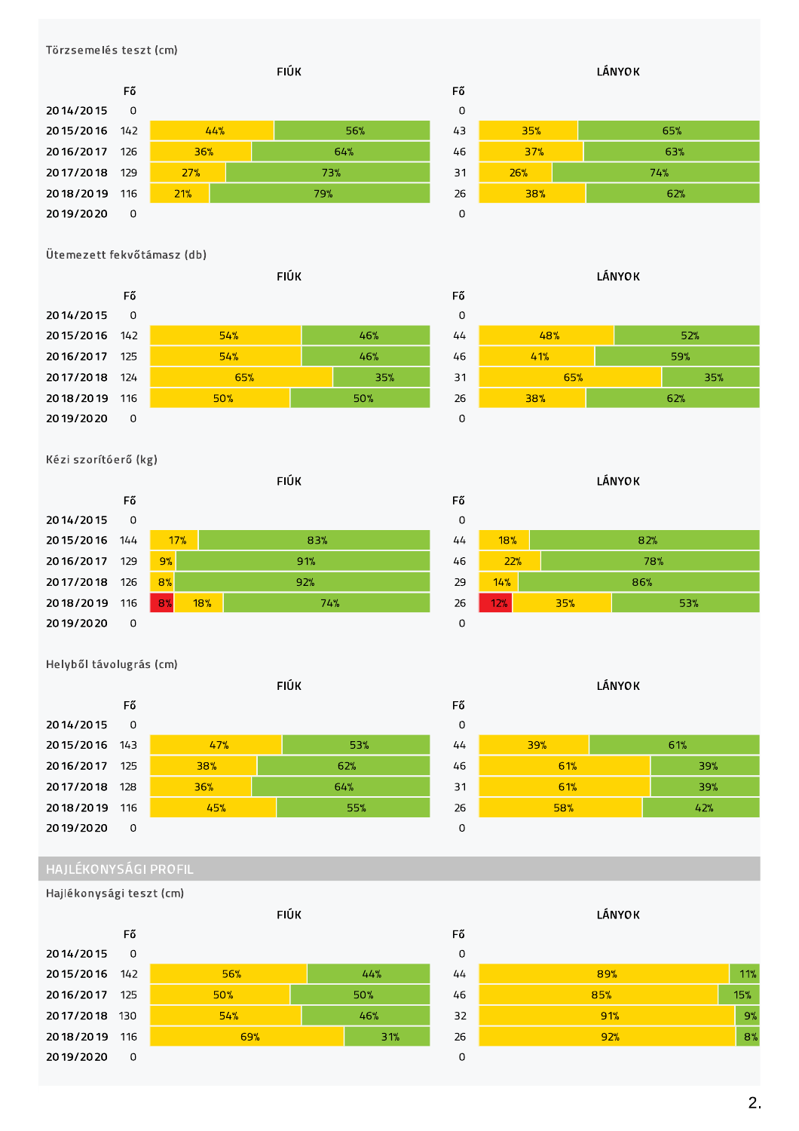### Törzsemelés teszt (cm)



# Ütemezett fekvőtámasz (db)



## Kézi szorítóerő (kg)



### Helyből távolugrás (cm)







# **LÁNYOK** 48%  $52%$

Fő

 $\mathbf 0$ 

 $44$ 

| 46 | 41% | 59% |
|----|-----|-----|
| 31 | 65% | 35% |
| 26 | 38% | 62% |
|    |     |     |

**LÁNYOK** 

| 0  |     |     |     |  |  |  |  |  |  |  |  |  |
|----|-----|-----|-----|--|--|--|--|--|--|--|--|--|
| 44 | 18% |     | 82% |  |  |  |  |  |  |  |  |  |
| 46 | 22% |     | 78% |  |  |  |  |  |  |  |  |  |
| 29 | 14% |     | 86% |  |  |  |  |  |  |  |  |  |
| 26 | 12% | 35% | 53% |  |  |  |  |  |  |  |  |  |
| O  |     |     |     |  |  |  |  |  |  |  |  |  |



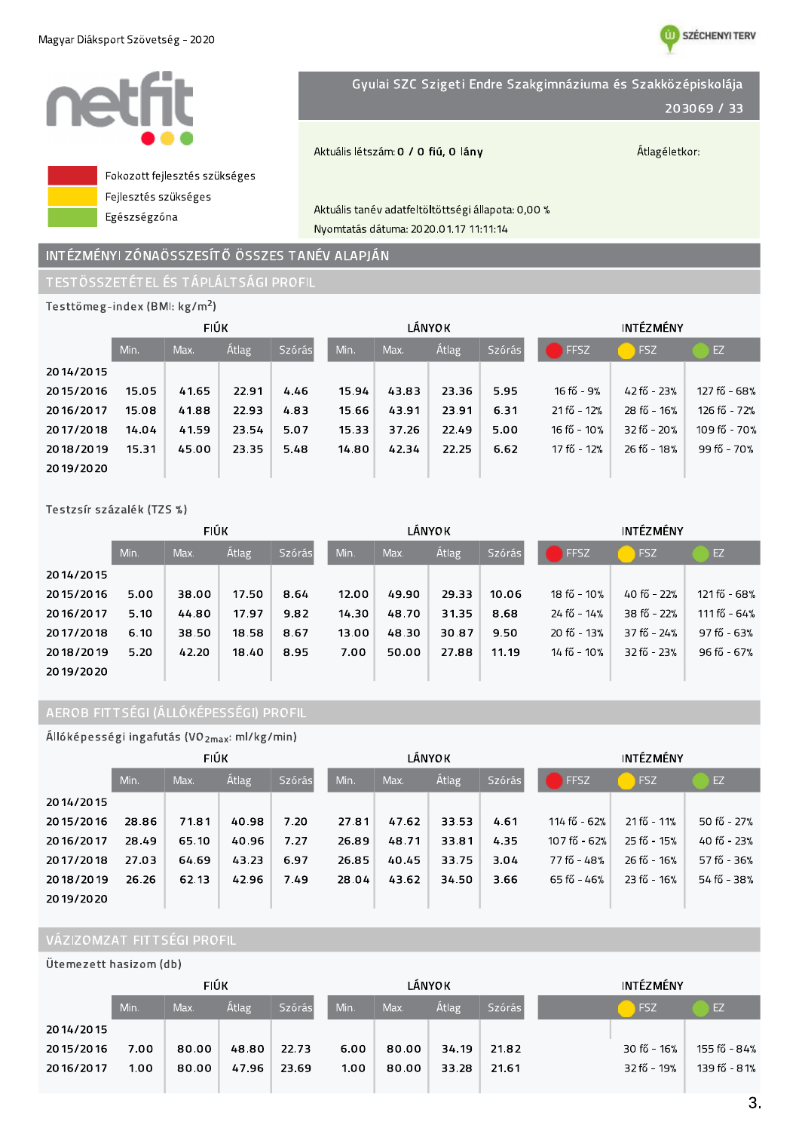

# INTÉZMÉNYI ZÓNAÖSSZESÍTŐ ÖSSZES TANÉV ALAPJÁN

# TESTÖSSZETÉTEL ÉS TÁPLÁLTSÁGI PROFIL

| Testtömeg-index (BMI: kg/m <sup>2</sup> ) |       |             |              |               |       |       |               |        |                  |                   |              |  |
|-------------------------------------------|-------|-------------|--------------|---------------|-------|-------|---------------|--------|------------------|-------------------|--------------|--|
|                                           |       | <b>FIÚK</b> |              |               |       |       | <b>LÁNYOK</b> |        | <b>INTÉZMÉNY</b> |                   |              |  |
|                                           | Min.  | Max.        | <b>Átlag</b> | <b>Szórás</b> | Min.  | Max.  | <b>Átlag</b>  | Szórás | FFSZ             | FSZ               | EZ           |  |
| 2014/2015                                 |       |             |              |               |       |       |               |        |                  |                   |              |  |
| 2015/2016                                 | 15.05 | 41.65       | 22.91        | 4.46          | 15.94 | 43.83 | 23.36         | 5.95   | $16f_0 - 9%$     | $42 f_0^2 - 23$ % | 127 fő - 68% |  |
| 2016/2017                                 | 15.08 | 41.88       | 22.93        | 4.83          | 15.66 | 43.91 | 23.91         | 6.31   | 21 fő - 12%      | 28 fő - 16%       | 126 fő - 72% |  |
| 2017/2018                                 | 14.04 | 41.59       | 23.54        | 5.07          | 15.33 | 37.26 | 22.49         | 5.00   | 16 fő - 10%      | $32 f$ ő – 20%    | 109 fő - 70% |  |
| 2018/2019                                 | 15.31 | 45.00       | 23.35        | 5.48          | 14.80 | 42.34 | 22.25         | 6.62   | 17 fő - 12%      | 26 fő - 18%       | 99 fő - 70%  |  |
| 2019/2020                                 |       |             |              |               |       |       |               |        |                  |                   |              |  |

# Testzsír százalék (TZS %)

|           |      | <b>FIÚK</b> |              |               |       |       | LÁNYOK       |        | <b>INTEZMENY</b> |             |               |
|-----------|------|-------------|--------------|---------------|-------|-------|--------------|--------|------------------|-------------|---------------|
|           | Min. | Max.        | <b>Atlag</b> | <b>Szórás</b> | Min.  | Max.  | <b>Atlag</b> | Szórás | FFSZ             | <b>FSZ</b>  | EZ            |
| 2014/2015 |      |             |              |               |       |       |              |        |                  |             |               |
| 2015/2016 | 5.00 | 38.00       | 17.50        | 8.64          | 12.00 | 49.90 | 29.33        | 10.06  | 18 fő - 10%      | 40 fő - 22% | 121 fő - 68%  |
| 2016/2017 | 5.10 | 44.80       | 17.97        | 9.82          | 14.30 | 48.70 | 31.35        | 8.68   | 24 fő - 14%      | 38 fő - 22% | 111 fő - 64%  |
| 2017/2018 | 6.10 | 38.50       | 18.58        | 8.67          | 13.00 | 48.30 | 30.87        | 9.50   | 20 fő - 13%      | 37 fő - 24% | $97f$ ő - 63% |
| 2018/2019 | 5.20 | 42.20       | 18.40        | 8.95          | 7.00  | 50.00 | 27.88        | 11.19  | 14 fő - 10%      | 32 fő - 23% | 96 fő - 67%   |
| 2019/2020 |      |             |              |               |       |       |              |        |                  |             |               |

# AEROB FITTSÉGI (ÁLLÓKÉPESSÉGI) PROFIL

| Állóképességi ingafutás (VO <sub>2max</sub> : ml/kg/min) |  |  |  |  |
|----------------------------------------------------------|--|--|--|--|
|----------------------------------------------------------|--|--|--|--|

|           | <b>FIÚK</b> |       |              |               |       |       | LÁNYOK       |        | INTÉZMÉNY     |             |             |  |
|-----------|-------------|-------|--------------|---------------|-------|-------|--------------|--------|---------------|-------------|-------------|--|
|           | Min.        | Max.  | <b>Átlag</b> | <b>Szórás</b> | Min.  | Max.  | <b>Átlag</b> | Szórás | FFSZ          | <b>FSZ</b>  | /EZ)        |  |
| 2014/2015 |             |       |              |               |       |       |              |        |               |             |             |  |
| 2015/2016 | 28.86       | 71.81 | 40.98        | 7.20          | 27.81 | 47.62 | 33.53        | 4.61   | 114 fő - 62%  | 21 fő - 11% | 50 fő - 27% |  |
| 2016/2017 | 28.49       | 65.10 | 40.96        | 7.27          | 26.89 | 48.71 | 33.81        | 4.35   | 107 fő - 62%  | 25 fő - 15% | 40 fő - 23% |  |
| 2017/2018 | 27.03       | 64.69 | 43.23        | 6.97          | 26.85 | 40.45 | 33.75        | 3.04   | 77 fő - 48%   | 26 fő - 16% | 57 fő - 36% |  |
| 2018/2019 | 26.26       | 62.13 | 42.96        | 7.49          | 28.04 | 43.62 | 34.50        | 3.66   | $65f$ ő - 46% | 23 fő - 16% | 54 fő - 38% |  |
| 2019/2020 |             |       |              |               |       |       |              |        |               |             |             |  |

# VÁZIZOMZAT FITTSÉGI PROFIL

Ütemezett hasizom (db)

|           | <b>FIÚK</b> |       |       |               |      |       | <b>LÁNYOK</b> |               | <b>INTÉZMÉNY</b> |             |              |
|-----------|-------------|-------|-------|---------------|------|-------|---------------|---------------|------------------|-------------|--------------|
|           | Min.        | Max.  | Atlag | <b>Szórás</b> | Min. | Max.  | <b>Atlag</b>  | <b>Szórás</b> |                  | <b>FSZ</b>  | EZ           |
| 2014/2015 |             |       |       |               |      |       |               |               |                  |             |              |
| 2015/2016 | 7.00        | 80.00 | 48.80 | 22.73         | 6.00 | 80.00 | 34.19         | 21.82         |                  | 30 fő - 16% | 155 fő - 84% |
| 2016/2017 | 1.00        | 80.00 | 47.96 | 23.69         | 1.00 | 80.00 | 33.28         | 21.61         |                  | 32 fő - 19% | 139 fő - 81% |
|           |             |       |       |               |      |       |               |               |                  |             |              |

**W SZÉCHENYI TERV**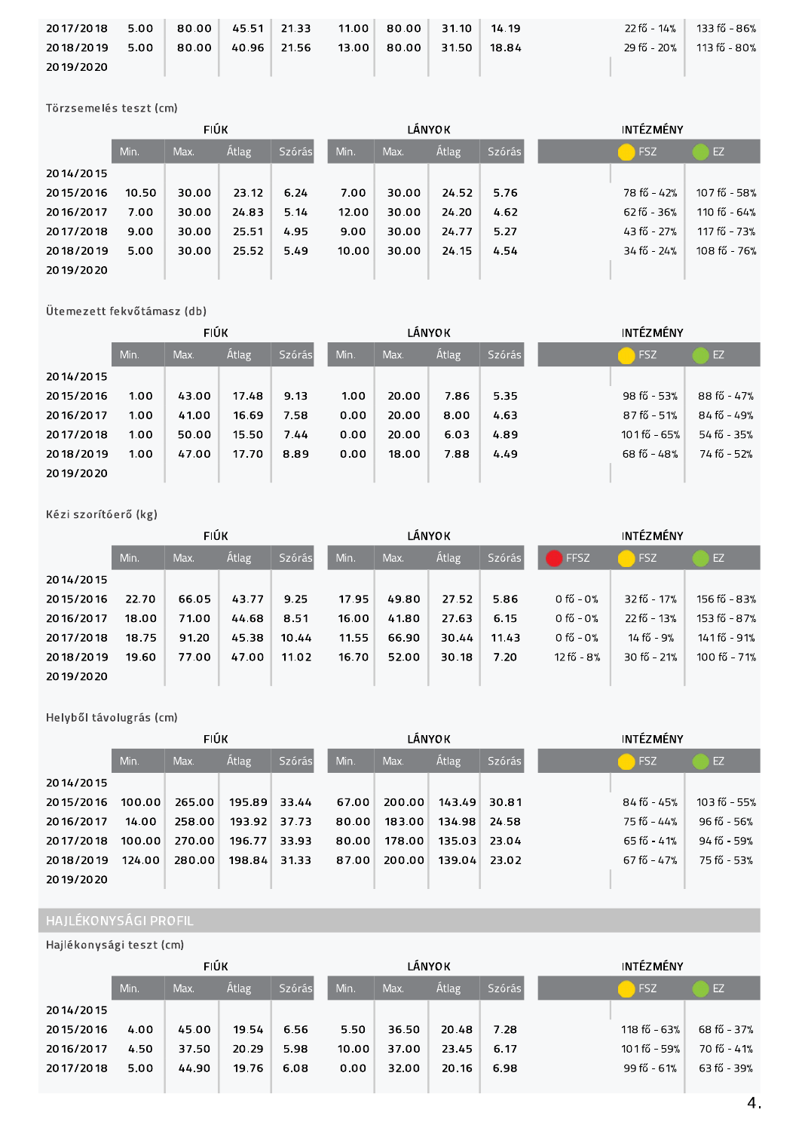| 2017/2018 | 5.00 | 80.00 | 45.51 21.33 | 11.00 | 80.00 | 31.10 | 14.19 | 22 fő - 14% l | 133 fő - 86% |
|-----------|------|-------|-------------|-------|-------|-------|-------|---------------|--------------|
| 2018/2019 | 5.00 | 80.00 | 40.96 21.56 | 13.00 | 80.00 | 31.50 | 18.84 | 29 fő - 20%   | 113 fő - 80% |
| 2019/2020 |      |       |             |       |       |       |       |               |              |

Törzsemelés teszt (cm)

|           |       | <b>FIÚK</b> |              |               |       |       | LÁNYOK |        | <b>INTÉZMÉNY</b> |                 |              |
|-----------|-------|-------------|--------------|---------------|-------|-------|--------|--------|------------------|-----------------|--------------|
|           | Min.  | Max.        | <b>Atlag</b> | <b>Szórás</b> | Min.  | Max.  | Átlag  | Szórás |                  | <b>FSZ</b>      | EZ           |
| 2014/2015 |       |             |              |               |       |       |        |        |                  |                 |              |
| 2015/2016 | 10.50 | 30.00       | 23.12        | 6.24          | 7.00  | 30.00 | 24.52  | 5.76   |                  | 78 fő - 42%     | 107 fő - 58% |
| 2016/2017 | 7.00  | 30.00       | 24.83        | 5.14          | 12.00 | 30.00 | 24.20  | 4.62   |                  | $62f_{0} - 36%$ | 110 fő - 64% |
| 2017/2018 | 9.00  | 30.00       | 25.51        | 4.95          | 9.00  | 30.00 | 24.77  | 5.27   |                  | 43 fő - 27%     | 117 fő - 73% |
| 2018/2019 | 5.00  | 30.00       | 25.52        | 5.49          | 10.00 | 30.00 | 24.15  | 4.54   |                  | 34 fő - 24%     | 108 fő - 76% |
| 2019/2020 |       |             |              |               |       |       |        |        |                  |                 |              |

Ütemezett fekvőtámasz (db)

|           |      | <b>FIÚK</b> |              |        |      |       | LÁNYOK       |        | <b>INTÉZMÉNY</b> |             |             |
|-----------|------|-------------|--------------|--------|------|-------|--------------|--------|------------------|-------------|-------------|
|           | Min. | Max.        | <b>Atlag</b> | Szórás | Min. | Max.  | <b>Átlag</b> | Szórás |                  | <b>FSZ</b>  | EZ          |
| 2014/2015 |      |             |              |        |      |       |              |        |                  |             |             |
| 2015/2016 | 1.00 | 43.00       | 17.48        | 9.13   | 1.00 | 20.00 | 7.86         | 5.35   |                  | 98 fő - 53% | 88 fő - 47% |
| 2016/2017 | 1.00 | 41.00       | 16.69        | 7.58   | 0.00 | 20.00 | 8.00         | 4.63   |                  | 87 fő - 51% | 84 fő - 49% |
| 2017/2018 | 1.00 | 50.00       | 15.50        | 7.44   | 0.00 | 20.00 | 6.03         | 4.89   |                  | 101fő - 65% | 54 fő - 35% |
| 2018/2019 | 1.00 | 47.00       | 17.70        | 8.89   | 0.00 | 18.00 | 7.88         | 4.49   |                  | 68 fő - 48% | 74 fő - 52% |
| 2019/2020 |      |             |              |        |      |       |              |        |                  |             |             |

# Kézi szorítóerő (kg)

|           | <b>FIÚK</b> |       |              |        |       |       | <b>LÁNYOK</b> |        | <b>INTÉZMÉNY</b> |             |              |
|-----------|-------------|-------|--------------|--------|-------|-------|---------------|--------|------------------|-------------|--------------|
|           | Min.        | Max.  | <b>Atlag</b> | Szórás | Min.  | Max.  | Átlag         | Szórás | FFSZ<br>n.       | FSZ         | EZ           |
| 2014/2015 |             |       |              |        |       |       |               |        |                  |             |              |
| 2015/2016 | 22.70       | 66.05 | 43.77        | 9.25   | 17.95 | 49.80 | 27.52         | 5.86   | 0 fő - $0\%$     | 32 fő - 17% | 156 fő - 83% |
| 2016/2017 | 18.00       | 71.00 | 44.68        | 8.51   | 16.00 | 41.80 | 27.63         | 6.15   | $0 f''$ - $0\%$  | 22 fő - 13% | 153 fő - 87% |
| 2017/2018 | 18.75       | 91.20 | 45.38        | 10.44  | 11.55 | 66.90 | 30.44         | 11.43  | $0f''_0 - 0\%$   | 14 fő - 9%  | 141 fő - 91% |
| 2018/2019 | 19.60       | 77.00 | 47.00        | 11.02  | 16.70 | 52.00 | 30.18         | 7.20   | $12 f''$ - 8%    | 30 fő - 21% | 100 fő - 71% |
| 2019/2020 |             |       |              |        |       |       |               |        |                  |             |              |

Helyből távolugrás (cm)

|           |        | <b>FIÚK</b> |              |               | LÁNYOK |        |              |        | <b>INTÉZMÉNY</b> |               |              |
|-----------|--------|-------------|--------------|---------------|--------|--------|--------------|--------|------------------|---------------|--------------|
|           | Min.   | Max.        | <b>Atlag</b> | <b>Szórás</b> | Min.   | Max.   | <b>Atlag</b> | Szórás |                  | <b>FSZ</b>    | EZ           |
| 2014/2015 |        |             |              |               |        |        |              |        |                  |               |              |
| 2015/2016 | 100.00 | 265.00      | 195.89       | 33.44         | 67.00  | 200.00 | 143.49       | 30.81  |                  | $84f_0 - 45%$ | 103 fő - 55% |
| 2016/2017 | 14.00  | 258.00      | 193.92       | 37.73         | 80.00  | 183.00 | 134.98       | 24.58  |                  | 75 fő - 44%   | 96 fő - 56%  |
| 2017/2018 | 100.00 | 270.00      | 196.77       | 33.93         | 80.00  | 178.00 | 135.03       | 23.04  |                  | $65f$ ő - 41% | 94 fő - 59%  |
| 2018/2019 | 124.00 | 280.00      | 198.84       | 31.33         | 87.00  | 200.00 | 139.04       | 23.02  |                  | $67f_0 - 47%$ | 75 fő - 53%  |
| 2019/2020 |        |             |              |               |        |        |              |        |                  |               |              |

Hajlékonysági teszt (cm)

|           | <b>FIÚK</b> |       |              |               | <b>LÁNYOK</b> |       |              |          | <b>INTÉZMÉNY</b> |              |                |
|-----------|-------------|-------|--------------|---------------|---------------|-------|--------------|----------|------------------|--------------|----------------|
|           | Min.        | Max.  | <b>Átlag</b> | <b>Szórás</b> | Min.          | Max.  | <b>Átlag</b> | Szórás I |                  | <b>FSZ</b>   | EZ             |
| 2014/2015 |             |       |              |               |               |       |              |          |                  |              |                |
| 2015/2016 | 4.00        | 45.00 | 19.54        | 6.56          | 5.50          | 36.50 | 20.48        | 7.28     |                  | 118 fő - 63% | 68 fő - 37%    |
| 2016/2017 | 4.50        | 37.50 | 20.29        | 5.98          | 10.00         | 37.00 | 23.45        | 6.17     |                  | 101fő - 59%  | $70 f_0 - 41%$ |
| 2017/2018 | 5.00        | 44.90 | 19.76        | 6.08          | 0.00          | 32.00 | 20.16        | 6.98     |                  | 99 fő - 61%  | $63 f_0 - 39%$ |
|           |             |       |              |               |               |       |              |          |                  |              |                |